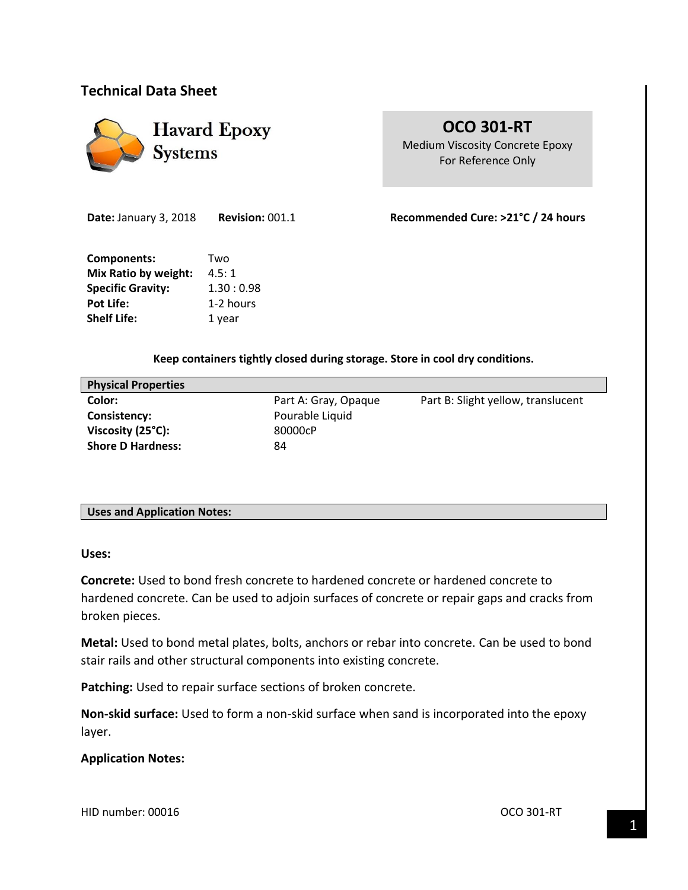# **Technical Data Sheet**



# **OCO 301-RT** Medium Viscosity Concrete Epoxy For Reference Only

**Date:** January 3, 2018 **Revision:** 001.1 **Recommended Cure: >21°C / 24 hours** 

**Components:** Two **Mix Ratio by weight:** 4.5:1 **Specific Gravity:** 1.30: 0.98 Pot Life: 1-2 hours **Shelf Life:** 1 year

### **Keep containers tightly closed during storage. Store in cool dry conditions.**

| <b>Physical Properties</b> |                      |                                    |
|----------------------------|----------------------|------------------------------------|
| Color:                     | Part A: Gray, Opaque | Part B: Slight yellow, translucent |
| Consistency:               | Pourable Liquid      |                                    |
| Viscosity (25°C):          | 80000cP              |                                    |
| <b>Shore D Hardness:</b>   | 84                   |                                    |
|                            |                      |                                    |

### **Uses and Application Notes:**

**Uses:**

**Concrete:** Used to bond fresh concrete to hardened concrete or hardened concrete to hardened concrete. Can be used to adjoin surfaces of concrete or repair gaps and cracks from broken pieces.

**Metal:** Used to bond metal plates, bolts, anchors or rebar into concrete. Can be used to bond stair rails and other structural components into existing concrete.

Patching: Used to repair surface sections of broken concrete.

**Non-skid surface:** Used to form a non-skid surface when sand is incorporated into the epoxy layer.

### **Application Notes:**